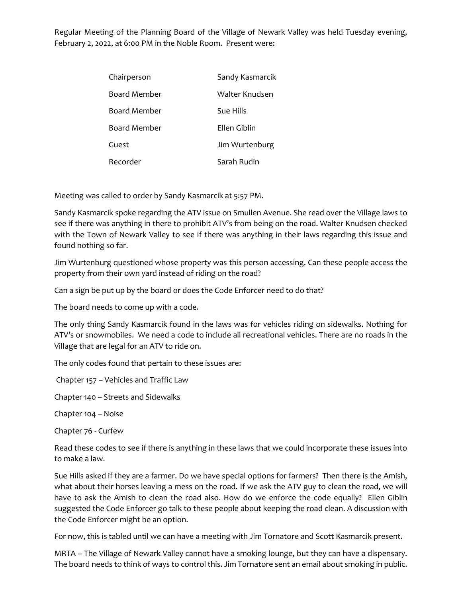Regular Meeting of the Planning Board of the Village of Newark Valley was held Tuesday evening, February 2, 2022, at 6:00 PM in the Noble Room. Present were:

| Chairperson         | Sandy Kasmarcik |
|---------------------|-----------------|
| <b>Board Member</b> | Walter Knudsen  |
| Board Member        | Sue Hills       |
| Board Member        | Fllen Giblin    |
| Guest               | Jim Wurtenburg  |
| Recorder            | Sarah Rudin     |

Meeting was called to order by Sandy Kasmarcik at 5:57 PM.

Sandy Kasmarcik spoke regarding the ATV issue on Smullen Avenue. She read over the Village laws to see if there was anything in there to prohibit ATV's from being on the road. Walter Knudsen checked with the Town of Newark Valley to see if there was anything in their laws regarding this issue and found nothing so far.

Jim Wurtenburg questioned whose property was this person accessing. Can these people access the property from their own yard instead of riding on the road?

Can a sign be put up by the board or does the Code Enforcer need to do that?

The board needs to come up with a code.

The only thing Sandy Kasmarcik found in the laws was for vehicles riding on sidewalks. Nothing for ATV's or snowmobiles. We need a code to include all recreational vehicles. There are no roads in the Village that are legal for an ATV to ride on.

The only codes found that pertain to these issues are:

Chapter 157 – Vehicles and Traffic Law

Chapter 140 – Streets and Sidewalks

Chapter 104 – Noise

Chapter 76 - Curfew

Read these codes to see if there is anything in these laws that we could incorporate these issues into to make a law.

Sue Hills asked if they are a farmer. Do we have special options for farmers? Then there is the Amish, what about their horses leaving a mess on the road. If we ask the ATV guy to clean the road, we will have to ask the Amish to clean the road also. How do we enforce the code equally? Ellen Giblin suggested the Code Enforcer go talk to these people about keeping the road clean. A discussion with the Code Enforcer might be an option.

For now, this is tabled until we can have a meeting with Jim Tornatore and Scott Kasmarcik present.

MRTA – The Village of Newark Valley cannot have a smoking lounge, but they can have a dispensary. The board needs to think of ways to control this. Jim Tornatore sent an email about smoking in public.